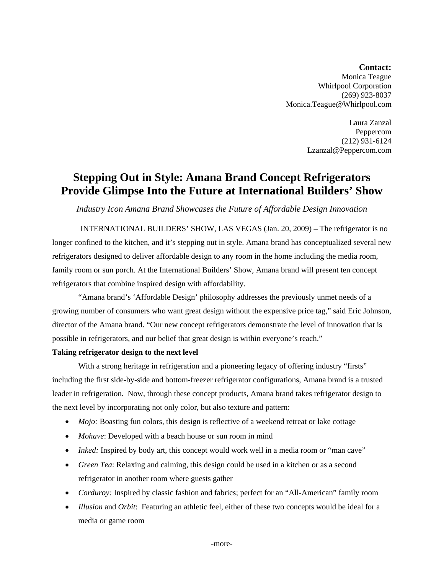## *Contact:* Monica Teague Whirlpool Corporation (269) 923-8037 Monica.Teague@Whirlpool.com

Laura Zanzal Peppercom (212) 931-6124 Lzanzal@Peppercom.com

## **Stepping Out in Style: Amana Brand Concept Refrigerators Provide Glimpse Into the Future at International Builders' Show**

*Industry Icon Amana Brand Showcases the Future of Affordable Design Innovation* 

INTERNATIONAL BUILDERS' SHOW, LAS VEGAS (Jan. 20, 2009) – The refrigerator is no longer confined to the kitchen, and it's stepping out in style. Amana brand has conceptualized several new refrigerators designed to deliver affordable design to any room in the home including the media room, family room or sun porch. At the International Builders' Show, Amana brand will present ten concept refrigerators that combine inspired design with affordability.

"Amana brand's 'Affordable Design' philosophy addresses the previously unmet needs of a growing number of consumers who want great design without the expensive price tag," said Eric Johnson, director of the Amana brand. "Our new concept refrigerators demonstrate the level of innovation that is possible in refrigerators, and our belief that great design is within everyone's reach."

## **Taking refrigerator design to the next level**

With a strong heritage in refrigeration and a pioneering legacy of offering industry "firsts" including the first side-by-side and bottom-freezer refrigerator configurations, Amana brand is a trusted leader in refrigeration. Now, through these concept products, Amana brand takes refrigerator design to the next level by incorporating not only color, but also texture and pattern:

- *Mojo:* Boasting fun colors, this design is reflective of a weekend retreat or lake cottage
- *Mohave*: Developed with a beach house or sun room in mind
- *Inked:* Inspired by body art, this concept would work well in a media room or "man cave"
- *Green Tea*: Relaxing and calming, this design could be used in a kitchen or as a second refrigerator in another room where guests gather
- *Corduroy:* Inspired by classic fashion and fabrics; perfect for an "All-American" family room
- *Illusion* and *Orbit*: Featuring an athletic feel, either of these two concepts would be ideal for a media or game room